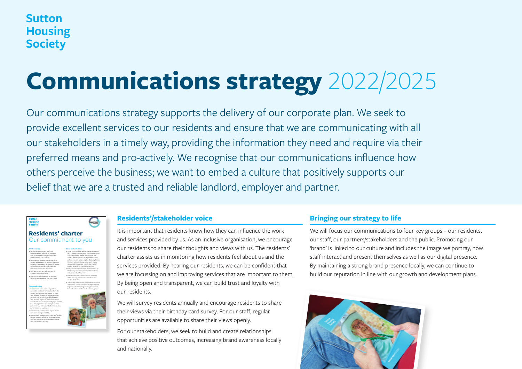# **Sutton Housing Society**

# **Communications strategy** 2022/2025

Our communications strategy supports the delivery of our corporate plan. We seek to provide excellent services to our residents and ensure that we are communicating with all our stakeholders in a timely way, providing the information they need and require via their preferred means and pro-actively. We recognise that our communications influence how others perceive the business; we want to embed a culture that positively supports our belief that we are a trusted and reliable landlord, employer and partner.



# Our commitment to you

**Relationships**

**Communication**



### **Residents'/stakeholder voice**

It is important that residents know how they can influence the work and services provided by us. As an inclusive organisation, we encourage our residents to share their thoughts and views with us. The residents' charter assists us in monitoring how residents feel about us and the services provided. By hearing our residents, we can be confident that we are focussing on and improving services that are important to them. By being open and transparent, we can build trust and loyalty with our residents.

We will survey residents annually and encourage residents to share their views via their birthday card survey. For our staff, regular opportunities are available to share their views openly.

For our stakeholders, we seek to build and create relationships that achieve positive outcomes, increasing brand awareness locally and nationally.

## **Bringing our strategy to life**

We will focus our communications to four key groups – our residents, our staff, our partners/stakeholders and the public. Promoting our 'brand' is linked to our culture and includes the image we portray, how staff interact and present themselves as well as our digital presence. By maintaining a strong brand presence locally, we can continue to build our reputation in line with our growth and development plans.